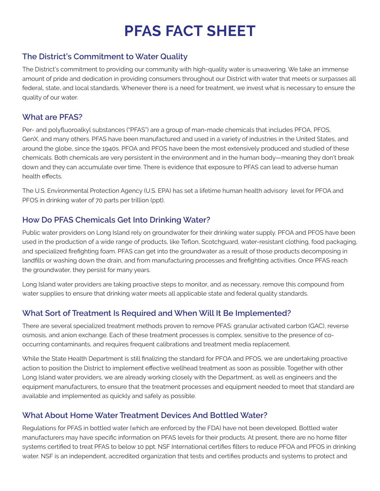# **PFAS FACT SHEET**

### **The District's Commitment to Water Quality**

The District's commitment to providing our community with high-quality water is unwavering. We take an immense amount of pride and dedication in providing consumers throughout our District with water that meets or surpasses all federal, state, and local standards. Whenever there is a need for treatment, we invest what is necessary to ensure the quality of our water.

#### **What are PFAS?**

Per- and polyfluoroalkyl substances ("PFAS") are a group of man-made chemicals that includes PFOA, PFOS, GenX, and many others. PFAS have been manufactured and used in a variety of industries in the United States, and around the globe, since the 1940s. PFOA and PFOS have been the most extensively produced and studied of these chemicals. Both chemicals are very persistent in the environment and in the human body—meaning they don't break down and they can accumulate over time. There is evidence that exposure to PFAS can lead to adverse human health effects.

The U.S. Environmental Protection Agency (U.S. EPA) has set a lifetime human health advisory level for PFOA and PFOS in drinking water of 70 parts per trillion (ppt).

#### **How Do PFAS Chemicals Get Into Drinking Water?**

Public water providers on Long Island rely on groundwater for their drinking water supply. PFOA and PFOS have been used in the production of a wide range of products, like Teflon, Scotchguard, water-resistant clothing, food packaging, and specialized firefighting foam. PFAS can get into the groundwater as a result of those products decomposing in landfills or washing down the drain, and from manufacturing processes and firefighting activities. Once PFAS reach the groundwater, they persist for many years.

Long Island water providers are taking proactive steps to monitor, and as necessary, remove this compound from water supplies to ensure that drinking water meets all applicable state and federal quality standards.

## **What Sort of Treatment Is Required and When Will It Be Implemented?**

There are several specialized treatment methods proven to remove PFAS: granular activated carbon (GAC), reverse osmosis, and anion exchange. Each of these treatment processes is complex, sensitive to the presence of cooccurring contaminants, and requires frequent calibrations and treatment media replacement.

While the State Health Department is still finalizing the standard for PFOA and PFOS, we are undertaking proactive action to position the District to implement effective wellhead treatment as soon as possible. Together with other Long Island water providers, we are already working closely with the Department, as well as engineers and the equipment manufacturers, to ensure that the treatment processes and equipment needed to meet that standard are available and implemented as quickly and safely as possible.

## **What About Home Water Treatment Devices And Bottled Water?**

Regulations for PFAS in bottled water (which are enforced by the FDA) have not been developed. Bottled water manufacturers may have specific information on PFAS levels for their products. At present, there are no home filter systems certified to treat PFAS to below 10 ppt. NSF International certifies filters to reduce PFOA and PFOS in drinking water. NSF is an independent, accredited organization that tests and certifies products and systems to protect and